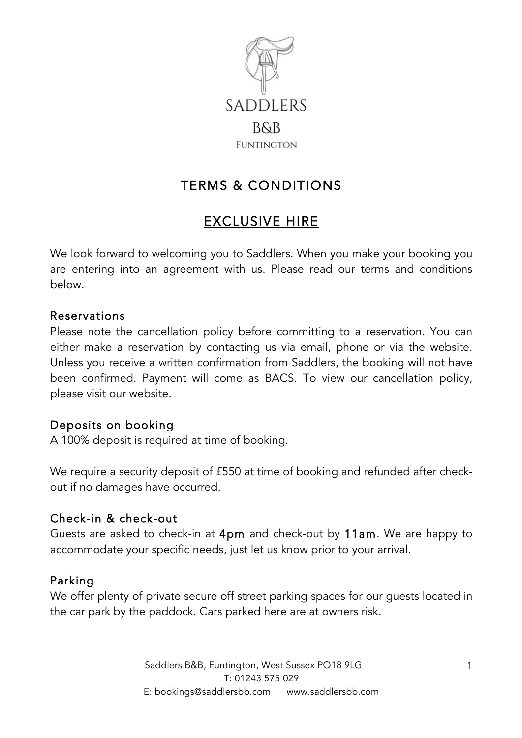

# TERMS & CONDITIONS

# EXCLUSIVE HIRE

We look forward to welcoming you to Saddlers. When you make your booking you are entering into an agreement with us. Please read our terms and conditions below.

#### Reservations

Please note the cancellation policy before committing to a reservation. You can either make a reservation by contacting us via email, phone or via the website. Unless you receive a written confirmation from Saddlers, the booking will not have been confirmed. Payment will come as BACS. To view our cancellation policy, please visit our website.

#### Deposits on booking

A 100% deposit is required at time of booking.

We require a security deposit of £550 at time of booking and refunded after checkout if no damages have occurred.

#### Check-in & check-out

Guests are asked to check-in at 4pm and check-out by 11am. We are happy to accommodate your specific needs, just let us know prior to your arrival.

#### Parking

We offer plenty of private secure off street parking spaces for our guests located in the car park by the paddock. Cars parked here are at owners risk.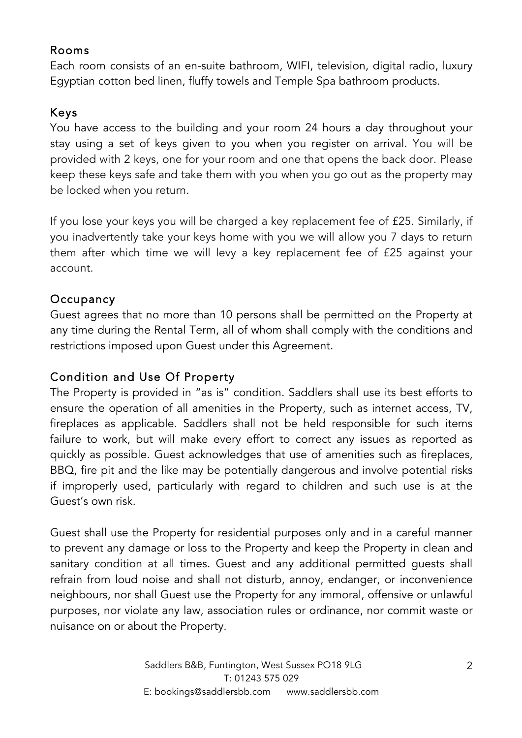## Rooms

Each room consists of an en-suite bathroom, WIFI, television, digital radio, luxury Egyptian cotton bed linen, fluffy towels and Temple Spa bathroom products.

# Keys

You have access to the building and your room 24 hours a day throughout your stay using a set of keys given to you when you register on arrival. You will be provided with 2 keys, one for your room and one that opens the back door. Please keep these keys safe and take them with you when you go out as the property may be locked when you return.

If you lose your keys you will be charged a key replacement fee of £25. Similarly, if you inadvertently take your keys home with you we will allow you 7 days to return them after which time we will levy a key replacement fee of £25 against your account.

# **Occupancy**

Guest agrees that no more than 10 persons shall be permitted on the Property at any time during the Rental Term, all of whom shall comply with the conditions and restrictions imposed upon Guest under this Agreement.

# Condition and Use Of Property

The Property is provided in "as is" condition. Saddlers shall use its best efforts to ensure the operation of all amenities in the Property, such as internet access, TV, fireplaces as applicable. Saddlers shall not be held responsible for such items failure to work, but will make every effort to correct any issues as reported as quickly as possible. Guest acknowledges that use of amenities such as fireplaces, BBQ, fire pit and the like may be potentially dangerous and involve potential risks if improperly used, particularly with regard to children and such use is at the Guest's own risk.

Guest shall use the Property for residential purposes only and in a careful manner to prevent any damage or loss to the Property and keep the Property in clean and sanitary condition at all times. Guest and any additional permitted guests shall refrain from loud noise and shall not disturb, annoy, endanger, or inconvenience neighbours, nor shall Guest use the Property for any immoral, offensive or unlawful purposes, nor violate any law, association rules or ordinance, nor commit waste or nuisance on or about the Property.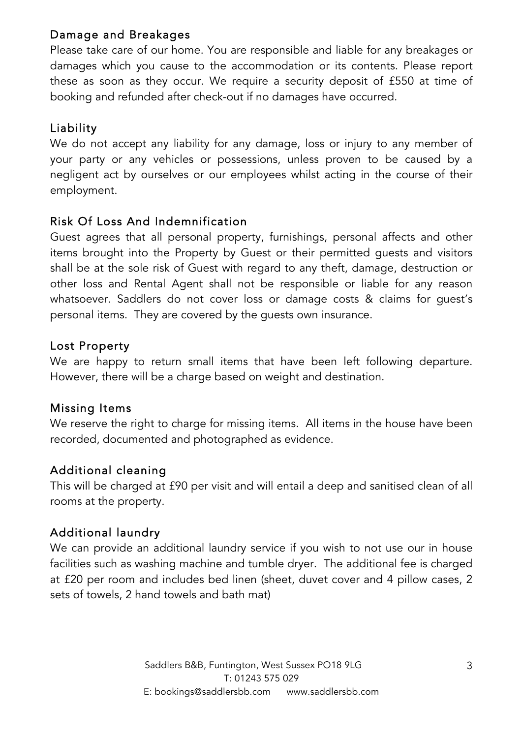# Damage and Breakages

Please take care of our home. You are responsible and liable for any breakages or damages which you cause to the accommodation or its contents. Please report these as soon as they occur. We require a security deposit of £550 at time of booking and refunded after check-out if no damages have occurred.

# Liability

We do not accept any liability for any damage, loss or injury to any member of your party or any vehicles or possessions, unless proven to be caused by a negligent act by ourselves or our employees whilst acting in the course of their employment.

# Risk Of Loss And Indemnification

Guest agrees that all personal property, furnishings, personal affects and other items brought into the Property by Guest or their permitted guests and visitors shall be at the sole risk of Guest with regard to any theft, damage, destruction or other loss and Rental Agent shall not be responsible or liable for any reason whatsoever. Saddlers do not cover loss or damage costs & claims for guest's personal items. They are covered by the guests own insurance.

## Lost Property

We are happy to return small items that have been left following departure. However, there will be a charge based on weight and destination.

#### Missing Items

We reserve the right to charge for missing items. All items in the house have been recorded, documented and photographed as evidence.

# Additional cleaning

This will be charged at £90 per visit and will entail a deep and sanitised clean of all rooms at the property.

# Additional laundry

We can provide an additional laundry service if you wish to not use our in house facilities such as washing machine and tumble dryer. The additional fee is charged at £20 per room and includes bed linen (sheet, duvet cover and 4 pillow cases, 2 sets of towels, 2 hand towels and bath mat)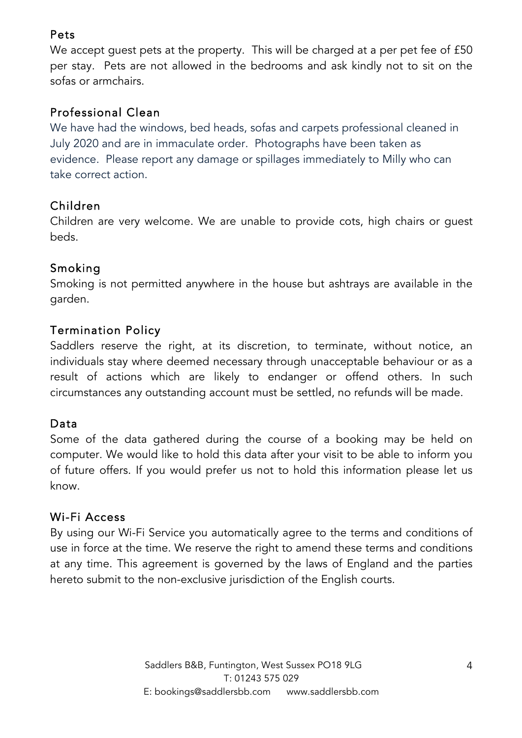# Pets

We accept guest pets at the property. This will be charged at a per pet fee of £50 per stay. Pets are not allowed in the bedrooms and ask kindly not to sit on the sofas or armchairs.

# Professional Clean

We have had the windows, bed heads, sofas and carpets professional cleaned in July 2020 and are in immaculate order. Photographs have been taken as evidence. Please report any damage or spillages immediately to Milly who can take correct action.

# Children

Children are very welcome. We are unable to provide cots, high chairs or guest beds.

# Smoking

Smoking is not permitted anywhere in the house but ashtrays are available in the garden.

# Termination Policy

Saddlers reserve the right, at its discretion, to terminate, without notice, an individuals stay where deemed necessary through unacceptable behaviour or as a result of actions which are likely to endanger or offend others. In such circumstances any outstanding account must be settled, no refunds will be made.

# Data

Some of the data gathered during the course of a booking may be held on computer. We would like to hold this data after your visit to be able to inform you of future offers. If you would prefer us not to hold this information please let us know.

#### Wi-Fi Access

By using our Wi-Fi Service you automatically agree to the terms and conditions of use in force at the time. We reserve the right to amend these terms and conditions at any time. This agreement is governed by the laws of England and the parties hereto submit to the non-exclusive jurisdiction of the English courts.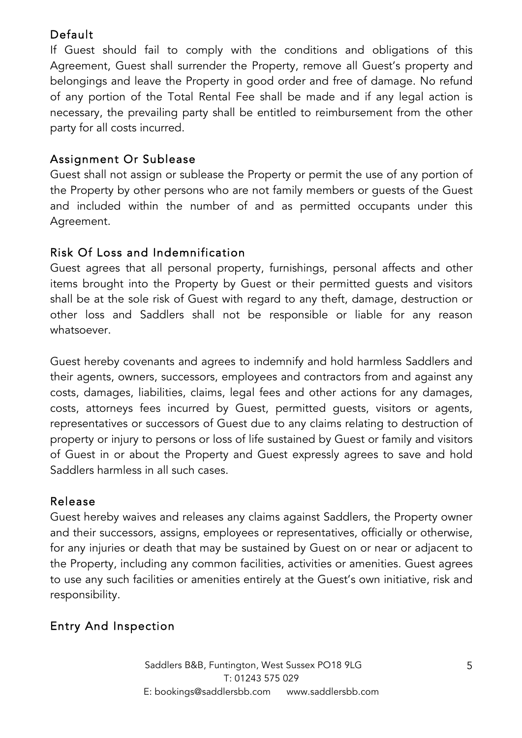# Default

If Guest should fail to comply with the conditions and obligations of this Agreement, Guest shall surrender the Property, remove all Guest's property and belongings and leave the Property in good order and free of damage. No refund of any portion of the Total Rental Fee shall be made and if any legal action is necessary, the prevailing party shall be entitled to reimbursement from the other party for all costs incurred.

# Assignment Or Sublease

Guest shall not assign or sublease the Property or permit the use of any portion of the Property by other persons who are not family members or guests of the Guest and included within the number of and as permitted occupants under this Agreement.

# Risk Of Loss and Indemnification

Guest agrees that all personal property, furnishings, personal affects and other items brought into the Property by Guest or their permitted guests and visitors shall be at the sole risk of Guest with regard to any theft, damage, destruction or other loss and Saddlers shall not be responsible or liable for any reason whatsoever.

Guest hereby covenants and agrees to indemnify and hold harmless Saddlers and their agents, owners, successors, employees and contractors from and against any costs, damages, liabilities, claims, legal fees and other actions for any damages, costs, attorneys fees incurred by Guest, permitted guests, visitors or agents, representatives or successors of Guest due to any claims relating to destruction of property or injury to persons or loss of life sustained by Guest or family and visitors of Guest in or about the Property and Guest expressly agrees to save and hold Saddlers harmless in all such cases.

#### Release

Guest hereby waives and releases any claims against Saddlers, the Property owner and their successors, assigns, employees or representatives, officially or otherwise, for any injuries or death that may be sustained by Guest on or near or adjacent to the Property, including any common facilities, activities or amenities. Guest agrees to use any such facilities or amenities entirely at the Guest's own initiative, risk and responsibility.

# Entry And Inspection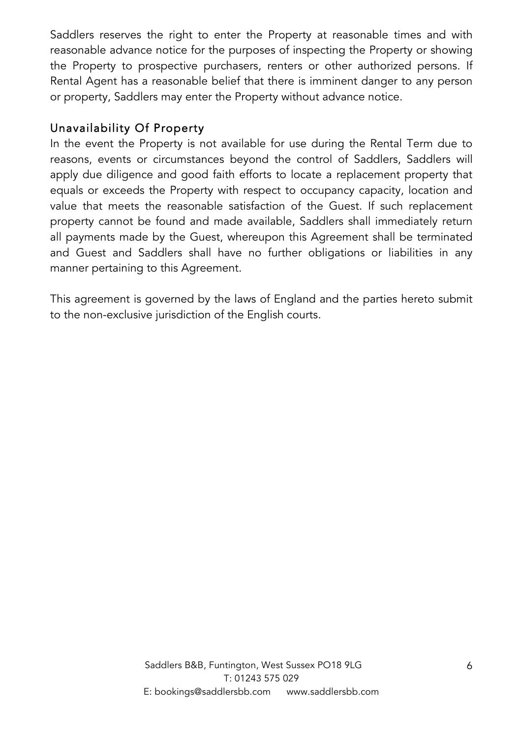Saddlers reserves the right to enter the Property at reasonable times and with reasonable advance notice for the purposes of inspecting the Property or showing the Property to prospective purchasers, renters or other authorized persons. If Rental Agent has a reasonable belief that there is imminent danger to any person or property, Saddlers may enter the Property without advance notice.

#### Unavailability Of Property

In the event the Property is not available for use during the Rental Term due to reasons, events or circumstances beyond the control of Saddlers, Saddlers will apply due diligence and good faith efforts to locate a replacement property that equals or exceeds the Property with respect to occupancy capacity, location and value that meets the reasonable satisfaction of the Guest. If such replacement property cannot be found and made available, Saddlers shall immediately return all payments made by the Guest, whereupon this Agreement shall be terminated and Guest and Saddlers shall have no further obligations or liabilities in any manner pertaining to this Agreement.

This agreement is governed by the laws of England and the parties hereto submit to the non-exclusive jurisdiction of the English courts.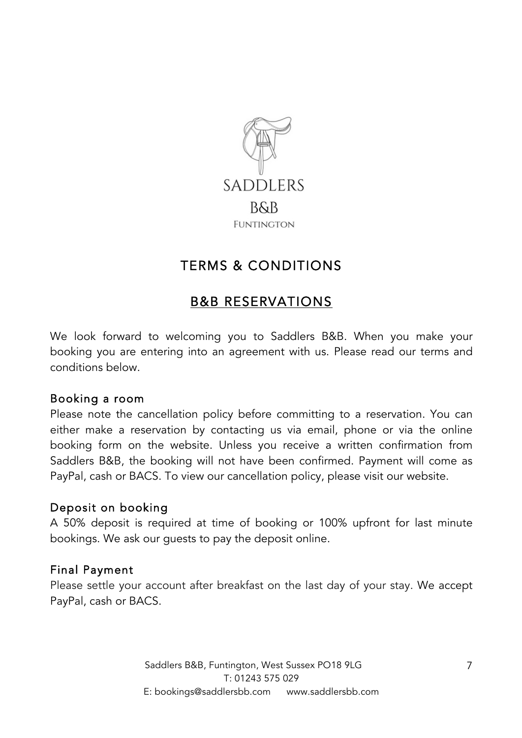

# TERMS & CONDITIONS

# B&B RESERVATIONS

We look forward to welcoming you to Saddlers B&B. When you make your booking you are entering into an agreement with us. Please read our terms and conditions below.

#### Booking a room

Please note the cancellation policy before committing to a reservation. You can either make a reservation by contacting us via email, phone or via the online booking form on the website. Unless you receive a written confirmation from Saddlers B&B, the booking will not have been confirmed. Payment will come as PayPal, cash or BACS. To view our cancellation policy, please visit our website.

#### Deposit on booking

A 50% deposit is required at time of booking or 100% upfront for last minute bookings. We ask our guests to pay the deposit online.

#### Final Payment

Please settle your account after breakfast on the last day of your stay. We accept PayPal, cash or BACS.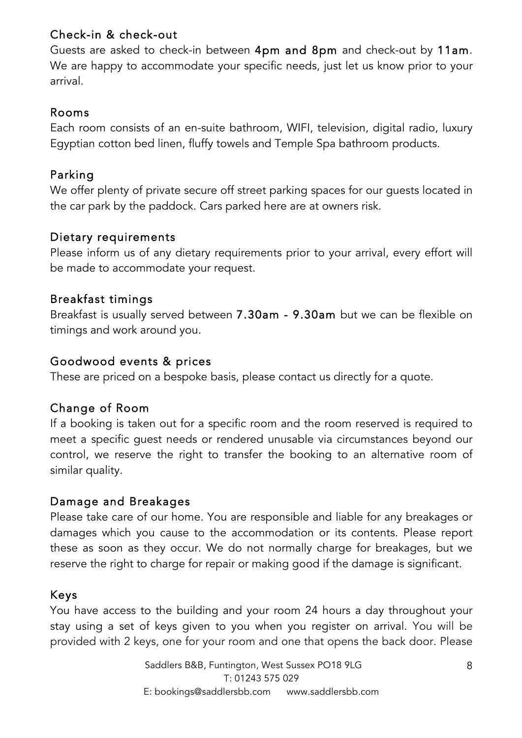## Check-in & check-out

Guests are asked to check-in between 4pm and 8pm and check-out by 11am. We are happy to accommodate your specific needs, just let us know prior to your arrival.

#### Rooms

Each room consists of an en-suite bathroom, WIFI, television, digital radio, luxury Egyptian cotton bed linen, fluffy towels and Temple Spa bathroom products.

## Parking

We offer plenty of private secure off street parking spaces for our guests located in the car park by the paddock. Cars parked here are at owners risk.

#### Dietary requirements

Please inform us of any dietary requirements prior to your arrival, every effort will be made to accommodate your request.

## Breakfast timings

Breakfast is usually served between 7.30am - 9.30am but we can be flexible on timings and work around you.

#### Goodwood events & prices

These are priced on a bespoke basis, please contact us directly for a quote.

# Change of Room

If a booking is taken out for a specific room and the room reserved is required to meet a specific guest needs or rendered unusable via circumstances beyond our control, we reserve the right to transfer the booking to an alternative room of similar quality.

#### Damage and Breakages

Please take care of our home. You are responsible and liable for any breakages or damages which you cause to the accommodation or its contents. Please report these as soon as they occur. We do not normally charge for breakages, but we reserve the right to charge for repair or making good if the damage is significant.

# Keys

You have access to the building and your room 24 hours a day throughout your stay using a set of keys given to you when you register on arrival. You will be provided with 2 keys, one for your room and one that opens the back door. Please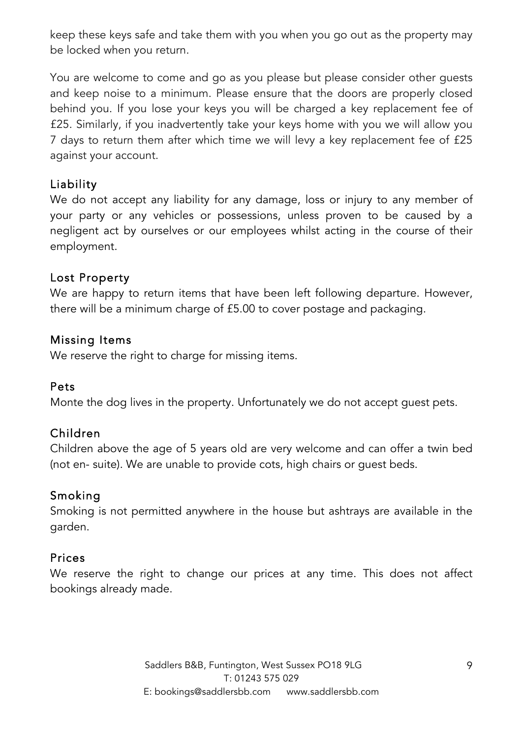keep these keys safe and take them with you when you go out as the property may be locked when you return.

You are welcome to come and go as you please but please consider other guests and keep noise to a minimum. Please ensure that the doors are properly closed behind you. If you lose your keys you will be charged a key replacement fee of £25. Similarly, if you inadvertently take your keys home with you we will allow you 7 days to return them after which time we will levy a key replacement fee of £25 against your account.

## Liability

We do not accept any liability for any damage, loss or injury to any member of your party or any vehicles or possessions, unless proven to be caused by a negligent act by ourselves or our employees whilst acting in the course of their employment.

#### Lost Property

We are happy to return items that have been left following departure. However, there will be a minimum charge of £5.00 to cover postage and packaging.

#### Missing Items

We reserve the right to charge for missing items.

#### Pets

Monte the dog lives in the property. Unfortunately we do not accept guest pets.

#### Children

Children above the age of 5 years old are very welcome and can offer a twin bed (not en- suite). We are unable to provide cots, high chairs or guest beds.

#### Smoking

Smoking is not permitted anywhere in the house but ashtrays are available in the garden.

#### Prices

We reserve the right to change our prices at any time. This does not affect bookings already made.